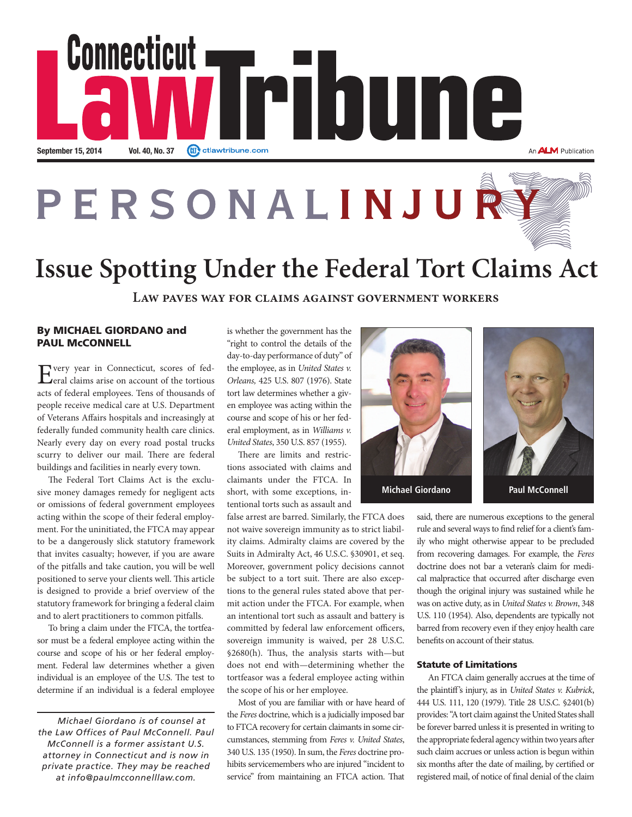

## PERSONALINJU THE

# **Issue Spotting Under the Federal Tort Claims Act**

**Law paves way for claims against government workers**

## By MICHAEL GIORDANO and PAUL McCONNELL

Every year in Connecticut, scores of fed-<br>
eral claims arise on account of the tortious acts of federal employees. Tens of thousands of people receive medical care at U.S. Department of Veterans Afairs hospitals and increasingly at federally funded community health care clinics. Nearly every day on every road postal trucks scurry to deliver our mail. There are federal buildings and facilities in nearly every town.

The Federal Tort Claims Act is the exclusive money damages remedy for negligent acts or omissions of federal government employees acting within the scope of their federal employment. For the uninitiated, the FTCA may appear to be a dangerously slick statutory framework that invites casualty; however, if you are aware of the pitfalls and take caution, you will be well positioned to serve your clients well. This article is designed to provide a brief overview of the statutory framework for bringing a federal claim and to alert practitioners to common pitfalls.

To bring a claim under the FTCA, the tortfeasor must be a federal employee acting within the course and scope of his or her federal employment. Federal law determines whether a given individual is an employee of the U.S. The test to determine if an individual is a federal employee

*Michael Giordano is of counsel at the Law Offices of Paul McConnell. Paul McConnell is a former assistant U.S. attorney in Connecticut and is now in private practice. They may be reached at info@paulmcconnelllaw.com.*

is whether the government has the "right to control the details of the day-to-day performance of duty" of the employee, as in United States v. Orleans, 425 U.S. 807 (1976). State tort law determines whether a given employee was acting within the course and scope of his or her federal employment, as in Williams v. United States, 350 U.S. 857 (1955).

There are limits and restrictions associated with claims and claimants under the FTCA. In short, with some exceptions, intentional torts such as assault and

false arrest are barred. Similarly, the FTCA does not waive sovereign immunity as to strict liability claims. Admiralty claims are covered by the Suits in Admiralty Act, 46 U.S.C. §30901, et seq. Moreover, government policy decisions cannot be subject to a tort suit. There are also exceptions to the general rules stated above that permit action under the FTCA. For example, when an intentional tort such as assault and battery is committed by federal law enforcement officers, sovereign immunity is waived, per 28 U.S.C. §2680(h). Thus, the analysis starts with—but does not end with—determining whether the tortfeasor was a federal employee acting within the scope of his or her employee.

Most of you are familiar with or have heard of the Feres doctrine, which is a judicially imposed bar to FTCA recovery for certain claimants in some circumstances, stemming from Feres v. United States, 340 U.S. 135 (1950). In sum, the Feres doctrine prohibits servicemembers who are injured "incident to service" from maintaining an FTCA action. That



**Michael Giordano Paul McConnell** 

said, there are numerous exceptions to the general rule and several ways to fnd relief for a client's family who might otherwise appear to be precluded from recovering damages. For example, the Feres doctrine does not bar a veteran's claim for medical malpractice that occurred afer discharge even though the original injury was sustained while he was on active duty, as in United States v. Brown, 348 U.S. 110 (1954). Also, dependents are typically not barred from recovery even if they enjoy health care benefts on account of their status.

### Statute of Limitations

An FTCA claim generally accrues at the time of the plaintif's injury, as in United States v. Kubrick, 444 U.S. 111, 120 (1979). Title 28 U.S.C. §2401(b) provides: "A tort claim against the United States shall be forever barred unless it is presented in writing to the appropriate federal agency within two years after such claim accrues or unless action is begun within six months afer the date of mailing, by certifed or registered mail, of notice of fnal denial of the claim